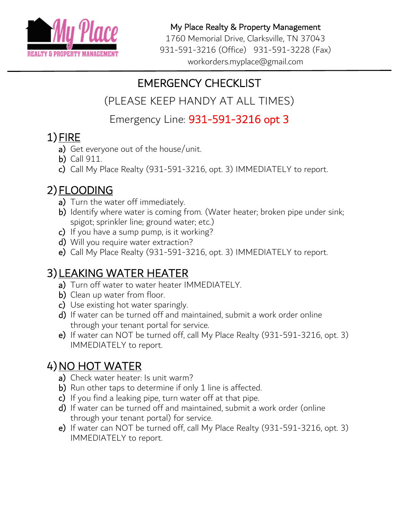

My Place Realty & Property Management

1760 Memorial Drive, Clarksville, TN 37043 931-591-3216 (Office) 931-591-3228 (Fax) workorders.myplace@gmail.com

### EMERGENCY CHECKLIST

(PLEASE KEEP HANDY AT ALL TIMES)

Emergency Line: 931-591-3216 opt 3

- 1) FIRE<br>a) Get everyone out of the house/unit.
	- b) Call 911.
	- c) Call My Place Realty (931-591-3216, opt. 3) IMMEDIATELY to report.

- 2) **FLOODING**<br>a) Turn the water off immediately.
	- b) Identify where water is coming from. (Water heater; broken pipe under sink; spigot; sprinkler line; ground water; etc.)
	- c) If you have a sump pump, is it working?
	- d) Will you require water extraction?
	- e) Call My Place Realty (931-591-3216, opt. 3) IMMEDIATELY to report.

# 3) LEAKING WATER HEATER<br>a) Turn off water to water heater IMMEDIATELY.

- 
- b) Clean up water from floor.
- c) Use existing hot water sparingly.
- d) If water can be turned off and maintained, submit a work order online through your tenant portal for service.
- e) If water can NOT be turned off, call My Place Realty (931-591-3216, opt. 3) IMMEDIATELY to report.

- 4) NO HOT WATER<br>a) Check water heater: Is unit warm?
	- b) Run other taps to determine if only 1 line is affected.
	- c) If you find a leaking pipe, turn water off at that pipe.
	- d) If water can be turned off and maintained, submit a work order (online through your tenant portal) for service.
	- e) If water can NOT be turned off, call My Place Realty (931-591-3216, opt. 3) IMMEDIATELY to report.